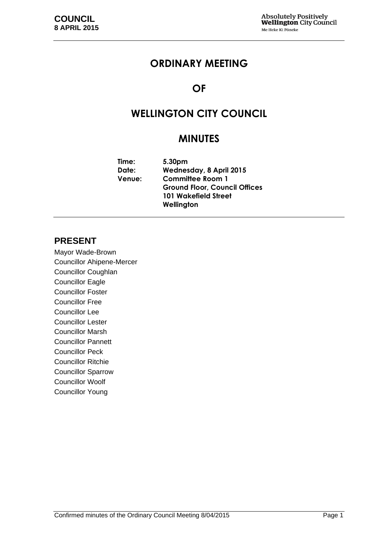# **ORDINARY MEETING**

# **OF**

# **WELLINGTON CITY COUNCIL**

# **MINUTES**

**Time: 5.30pm Date: Wednesday, 8 April 2015 Venue: Committee Room 1 Ground Floor, Council Offices 101 Wakefield Street Wellington**

### **PRESENT**

Mayor Wade-Brown Councillor Ahipene-Mercer Councillor Coughlan Councillor Eagle Councillor Foster Councillor Free Councillor Lee Councillor Lester Councillor Marsh Councillor Pannett Councillor Peck Councillor Ritchie Councillor Sparrow Councillor Woolf Councillor Young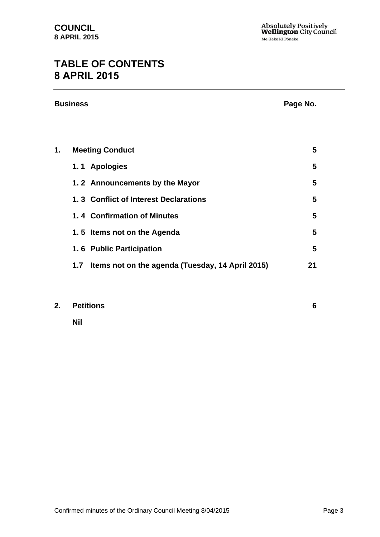# **TABLE OF CONTENTS 8 APRIL 2015**

| <b>Business</b> | Page No. |
|-----------------|----------|
|                 |          |

| 1. | <b>Meeting Conduct</b>                                  |    |
|----|---------------------------------------------------------|----|
|    | 1.1 Apologies                                           | 5  |
|    | 1.2 Announcements by the Mayor                          | 5  |
|    | 1.3 Conflict of Interest Declarations                   | 5  |
|    | 1.4 Confirmation of Minutes                             | 5  |
|    | 1.5 Items not on the Agenda                             | 5  |
|    | 1.6 Public Participation                                | 5  |
|    | Items not on the agenda (Tuesday, 14 April 2015)<br>1.7 | 21 |
|    |                                                         |    |

### **2. Petitions [6](#page-5-0)**

**Nil**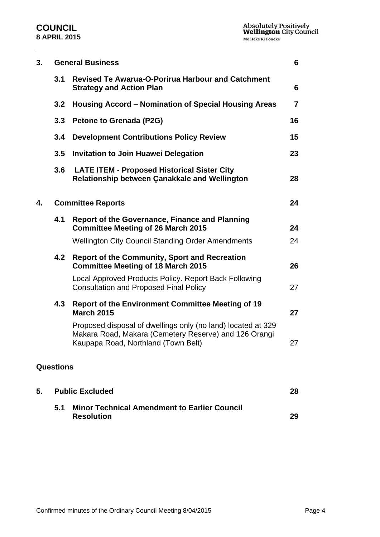### **COUNCIL 8 APRIL 2015**

| 3. | <b>General Business</b> |                                                                                                                                                              | 6              |
|----|-------------------------|--------------------------------------------------------------------------------------------------------------------------------------------------------------|----------------|
|    | 3.1                     | <b>Revised Te Awarua-O-Porirua Harbour and Catchment</b><br><b>Strategy and Action Plan</b>                                                                  | 6              |
|    | 3.2                     | Housing Accord – Nomination of Special Housing Areas                                                                                                         | $\overline{7}$ |
|    | 3.3                     | Petone to Grenada (P2G)                                                                                                                                      | 16             |
|    | 3.4                     | <b>Development Contributions Policy Review</b>                                                                                                               | 15             |
|    | 3.5                     | <b>Invitation to Join Huawei Delegation</b>                                                                                                                  | 23             |
|    | 3.6                     | <b>LATE ITEM - Proposed Historical Sister City</b><br>Relationship between Çanakkale and Wellington                                                          | 28             |
| 4. |                         | <b>Committee Reports</b>                                                                                                                                     | 24             |
|    | 4.1                     | <b>Report of the Governance, Finance and Planning</b><br><b>Committee Meeting of 26 March 2015</b>                                                           | 24             |
|    |                         | <b>Wellington City Council Standing Order Amendments</b>                                                                                                     | 24             |
|    | 4.2                     | <b>Report of the Community, Sport and Recreation</b><br><b>Committee Meeting of 18 March 2015</b>                                                            | 26             |
|    |                         | Local Approved Products Policy. Report Back Following<br><b>Consultation and Proposed Final Policy</b>                                                       | 27             |
|    | 4.3                     | <b>Report of the Environment Committee Meeting of 19</b><br><b>March 2015</b>                                                                                | 27             |
|    |                         | Proposed disposal of dwellings only (no land) located at 329<br>Makara Road, Makara (Cemetery Reserve) and 126 Orangi<br>Kaupapa Road, Northland (Town Belt) | 27             |
|    | <b>Questions</b>        |                                                                                                                                                              |                |
| 5. |                         | <b>Public Excluded</b>                                                                                                                                       | 28             |
|    | 5.1                     | <b>Minor Technical Amendment to Earlier Council</b><br><b>Resolution</b>                                                                                     | 29             |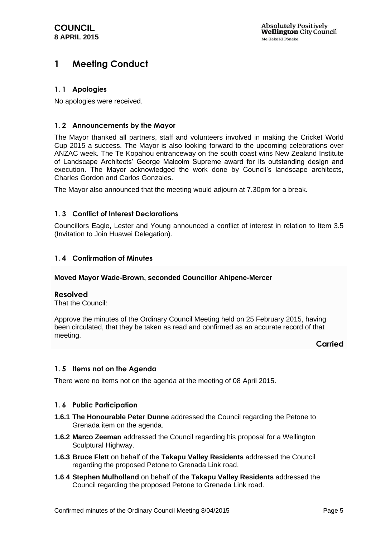# <span id="page-4-0"></span>**1 Meeting Conduct**

### <span id="page-4-1"></span>**1. 1 Apologies**

No apologies were received.

#### <span id="page-4-2"></span>**1. 2 Announcements by the Mayor**

The Mayor thanked all partners, staff and volunteers involved in making the Cricket World Cup 2015 a success. The Mayor is also looking forward to the upcoming celebrations over ANZAC week. The Te Kopahou entranceway on the south coast wins New Zealand Institute of Landscape Architects' George Malcolm Supreme award for its outstanding design and execution. The Mayor acknowledged the work done by Council's landscape architects, Charles Gordon and Carlos Gonzales.

The Mayor also announced that the meeting would adjourn at 7.30pm for a break.

#### <span id="page-4-3"></span>**1. 3 Conflict of Interest Declarations**

Councillors Eagle, Lester and Young announced a conflict of interest in relation to Item 3.5 (Invitation to Join Huawei Delegation).

#### <span id="page-4-4"></span>**1. 4 Confirmation of Minutes**

#### **Moved Mayor Wade-Brown, seconded Councillor Ahipene-Mercer**

#### **Resolved**

That the Council:

Approve the minutes of the Ordinary Council Meeting held on 25 February 2015, having been circulated, that they be taken as read and confirmed as an accurate record of that meeting.

#### **Carried**

#### <span id="page-4-5"></span>**1. 5 Items not on the Agenda**

There were no items not on the agenda at the meeting of 08 April 2015.

#### <span id="page-4-6"></span>**1. 6 Public Participation**

- **1.6.1 The Honourable Peter Dunne** addressed the Council regarding the Petone to Grenada item on the agenda.
- **1.6.2 Marco Zeeman** addressed the Council regarding his proposal for a Wellington Sculptural Highway.
- **1.6.3 Bruce Flett** on behalf of the **Takapu Valley Residents** addressed the Council regarding the proposed Petone to Grenada Link road.
- **1.6**.**4 Stephen Mulholland** on behalf of the **Takapu Valley Residents** addressed the Council regarding the proposed Petone to Grenada Link road.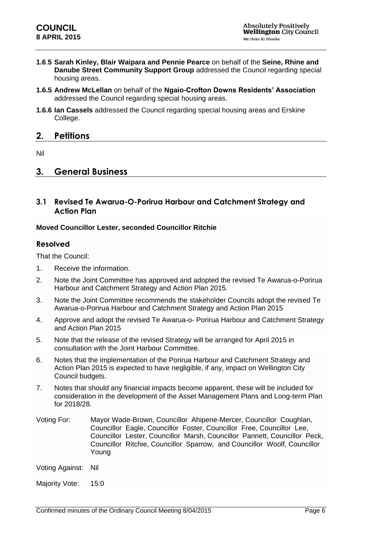- **1.6**.**5 Sarah Kinley, Blair Waipara and Pennie Pearce** on behalf of the **Seine, Rhine and Danube Street Community Support Group** addressed the Council regarding special housing areas.
- **1.6.5 Andrew McLellan** on behalf of the **Ngaio-Crofton Downs Residents' Association**  addressed the Council regarding special housing areas.
- **1.6.6 Ian Cassels** addressed the Council regarding special housing areas and Erskine College.

### <span id="page-5-0"></span>**2. Petitions**

Nil

### <span id="page-5-1"></span>**3. General Business**

### <span id="page-5-2"></span>**3.1 Revised Te Awarua-O-Porirua Harbour and Catchment Strategy and Action Plan**

#### **Moved Councillor Lester, seconded Councillor Ritchie**

#### **Resolved**

That the Council:

- 1. Receive the information.
- 2. Note the Joint Committee has approved and adopted the revised Te Awarua-o-Porirua Harbour and Catchment Strategy and Action Plan 2015.
- 3. Note the Joint Committee recommends the stakeholder Councils adopt the revised Te Awarua-o-Porirua Harbour and Catchment Strategy and Action Plan 2015
- 4. Approve and adopt the revised Te Awarua-o- Porirua Harbour and Catchment Strategy and Action Plan 2015
- 5. Note that the release of the revised Strategy will be arranged for April 2015 in consultation with the Joint Harbour Committee.
- 6. Notes that the implementation of the Porirua Harbour and Catchment Strategy and Action Plan 2015 is expected to have negligible, if any, impact on Wellington City Council budgets.
- 7. Notes that should any financial impacts become apparent, these will be included for consideration in the development of the Asset Management Plans and Long-term Plan for 2018/28.
- Voting For: Mayor Wade-Brown, Councillor Ahipene-Mercer, Councillor Coughlan, Councillor Eagle, Councillor Foster, Councillor Free, Councillor Lee, Councillor Lester, Councillor Marsh, Councillor Pannett, Councillor Peck, Councillor Ritchie, Councillor Sparrow, and Councillor Woolf, Councillor Young
- Voting Against: Nil

Majority Vote: 15:0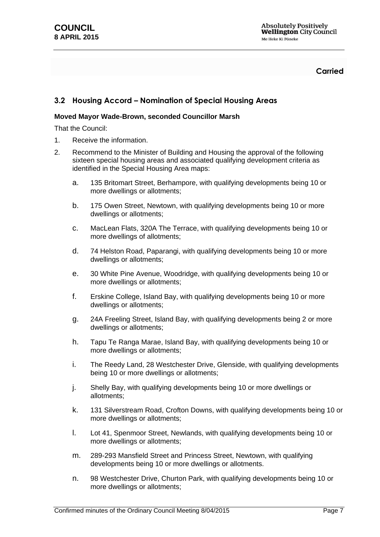**Carried**

### <span id="page-6-0"></span>**3.2 Housing Accord – Nomination of Special Housing Areas**

#### **Moved Mayor Wade-Brown, seconded Councillor Marsh**

That the Council:

- 1. Receive the information.
- 2. Recommend to the Minister of Building and Housing the approval of the following sixteen special housing areas and associated qualifying development criteria as identified in the Special Housing Area maps:
	- a. 135 Britomart Street, Berhampore, with qualifying developments being 10 or more dwellings or allotments;
	- b. 175 Owen Street, Newtown, with qualifying developments being 10 or more dwellings or allotments;
	- c. MacLean Flats, 320A The Terrace, with qualifying developments being 10 or more dwellings of allotments;
	- d. 74 Helston Road, Paparangi, with qualifying developments being 10 or more dwellings or allotments;
	- e. 30 White Pine Avenue, Woodridge, with qualifying developments being 10 or more dwellings or allotments;
	- f. Erskine College, Island Bay, with qualifying developments being 10 or more dwellings or allotments;
	- g. 24A Freeling Street, Island Bay, with qualifying developments being 2 or more dwellings or allotments;
	- h. Tapu Te Ranga Marae, Island Bay, with qualifying developments being 10 or more dwellings or allotments;
	- i. The Reedy Land, 28 Westchester Drive, Glenside, with qualifying developments being 10 or more dwellings or allotments;
	- j. Shelly Bay, with qualifying developments being 10 or more dwellings or allotments;
	- k. 131 Silverstream Road, Crofton Downs, with qualifying developments being 10 or more dwellings or allotments;
	- l. Lot 41, Spenmoor Street, Newlands, with qualifying developments being 10 or more dwellings or allotments;
	- m. 289-293 Mansfield Street and Princess Street, Newtown, with qualifying developments being 10 or more dwellings or allotments.
	- n. 98 Westchester Drive, Churton Park, with qualifying developments being 10 or more dwellings or allotments;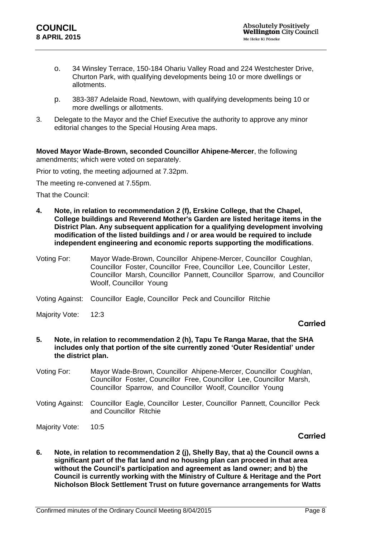- o. 34 Winsley Terrace, 150-184 Ohariu Valley Road and 224 Westchester Drive, Churton Park, with qualifying developments being 10 or more dwellings or allotments.
- p. 383-387 Adelaide Road, Newtown, with qualifying developments being 10 or more dwellings or allotments.
- 3. Delegate to the Mayor and the Chief Executive the authority to approve any minor editorial changes to the Special Housing Area maps.

**Moved Mayor Wade-Brown, seconded Councillor Ahipene-Mercer**, the following amendments; which were voted on separately.

Prior to voting, the meeting adjourned at 7.32pm.

The meeting re-convened at 7.55pm.

That the Council:

- **4. Note, in relation to recommendation 2 (f), Erskine College, that the Chapel, College buildings and Reverend Mother's Garden are listed heritage items in the District Plan. Any subsequent application for a qualifying development involving modification of the listed buildings and / or area would be required to include independent engineering and economic reports supporting the modifications**.
- Voting For: Mayor Wade-Brown, Councillor Ahipene-Mercer, Councillor Coughlan, Councillor Foster, Councillor Free, Councillor Lee, Councillor Lester, Councillor Marsh, Councillor Pannett, Councillor Sparrow, and Councillor Woolf, Councillor Young

Majority Vote: 12:3

#### **Carried**

- **5. Note, in relation to recommendation 2 (h), Tapu Te Ranga Marae, that the SHA includes only that portion of the site currently zoned 'Outer Residential' under the district plan.**
- Voting For: Mayor Wade-Brown, Councillor Ahipene-Mercer, Councillor Coughlan, Councillor Foster, Councillor Free, Councillor Lee, Councillor Marsh, Councillor Sparrow, and Councillor Woolf, Councillor Young
- Voting Against: Councillor Eagle, Councillor Lester, Councillor Pannett, Councillor Peck and Councillor Ritchie
- Majority Vote: 10:5

### **Carried**

**6. Note, in relation to recommendation 2 (j), Shelly Bay, that a) the Council owns a significant part of the flat land and no housing plan can proceed in that area without the Council's participation and agreement as land owner; and b) the Council is currently working with the Ministry of Culture & Heritage and the Port Nicholson Block Settlement Trust on future governance arrangements for Watts** 

Voting Against: Councillor Eagle, Councillor Peck and Councillor Ritchie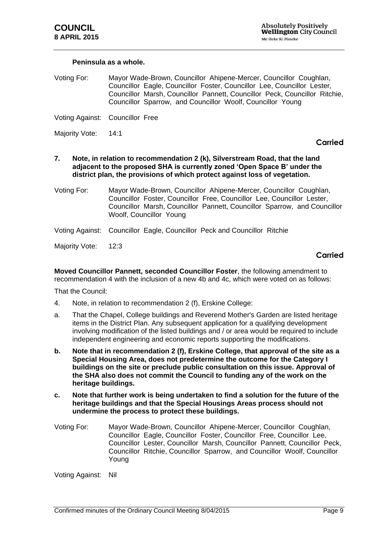#### **Peninsula as a whole.**

Voting For: Mayor Wade-Brown, Councillor Ahipene-Mercer, Councillor Coughlan, Councillor Eagle, Councillor Foster, Councillor Lee, Councillor Lester, Councillor Marsh, Councillor Pannett, Councillor Peck, Councillor Ritchie, Councillor Sparrow, and Councillor Woolf, Councillor Young

Voting Against: Councillor Free

Majority Vote: 14:1

#### **Carried**

- **7. Note, in relation to recommendation 2 (k), Silverstream Road, that the land adjacent to the proposed SHA is currently zoned 'Open Space B' under the district plan, the provisions of which protect against loss of vegetation.**
- Voting For: Mayor Wade-Brown, Councillor Ahipene-Mercer, Councillor Coughlan, Councillor Foster, Councillor Free, Councillor Lee, Councillor Lester, Councillor Marsh, Councillor Pannett, Councillor Sparrow, and Councillor Woolf, Councillor Young
- Voting Against: Councillor Eagle, Councillor Peck and Councillor Ritchie

Majority Vote: 12:3

#### **Carried**

**Moved Councillor Pannett, seconded Councillor Foster**, the following amendment to recommendation 4 with the inclusion of a new 4b and 4c, which were voted on as follows:

That the Council:

- 4. Note, in relation to recommendation 2 (f), Erskine College:
- a. That the Chapel, College buildings and Reverend Mother's Garden are listed heritage items in the District Plan. Any subsequent application for a qualifying development involving modification of the listed buildings and / or area would be required to include independent engineering and economic reports supporting the modifications.
- **b. Note that in recommendation 2 (f), Erskine College, that approval of the site as a Special Housing Area, does not predetermine the outcome for the Category I buildings on the site or preclude public consultation on this issue. Approval of the SHA also does not commit the Council to funding any of the work on the heritage buildings.**
- **c. Note that further work is being undertaken to find a solution for the future of the heritage buildings and that the Special Housings Areas process should not undermine the process to protect these buildings.**
- Voting For: Mayor Wade-Brown, Councillor Ahipene-Mercer, Councillor Coughlan, Councillor Eagle, Councillor Foster, Councillor Free, Councillor Lee, Councillor Lester, Councillor Marsh, Councillor Pannett, Councillor Peck, Councillor Ritchie, Councillor Sparrow, and Councillor Woolf, Councillor Young

Voting Against: Nil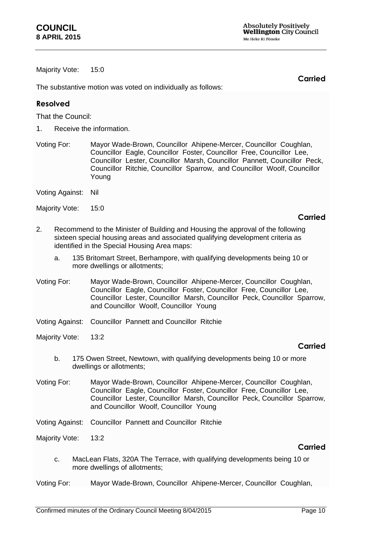Majority Vote: 15:0

The substantive motion was voted on individually as follows:

### **Resolved**

That the Council:

- 1. Receive the information.
- Voting For: Mayor Wade-Brown, Councillor Ahipene-Mercer, Councillor Coughlan, Councillor Eagle, Councillor Foster, Councillor Free, Councillor Lee, Councillor Lester, Councillor Marsh, Councillor Pannett, Councillor Peck, Councillor Ritchie, Councillor Sparrow, and Councillor Woolf, Councillor Young
- Voting Against: Nil
- Majority Vote: 15:0

#### **Carried**

**Carried**

- 2. Recommend to the Minister of Building and Housing the approval of the following sixteen special housing areas and associated qualifying development criteria as identified in the Special Housing Area maps:
	- a. 135 Britomart Street, Berhampore, with qualifying developments being 10 or more dwellings or allotments;
- Voting For: Mayor Wade-Brown, Councillor Ahipene-Mercer, Councillor Coughlan, Councillor Eagle, Councillor Foster, Councillor Free, Councillor Lee, Councillor Lester, Councillor Marsh, Councillor Peck, Councillor Sparrow, and Councillor Woolf, Councillor Young
- Voting Against: Councillor Pannett and Councillor Ritchie
- Majority Vote: 13:2

#### **Carried**

- b. 175 Owen Street, Newtown, with qualifying developments being 10 or more dwellings or allotments;
- Voting For: Mayor Wade-Brown, Councillor Ahipene-Mercer, Councillor Coughlan, Councillor Eagle, Councillor Foster, Councillor Free, Councillor Lee, Councillor Lester, Councillor Marsh, Councillor Peck, Councillor Sparrow, and Councillor Woolf, Councillor Young
- Voting Against: Councillor Pannett and Councillor Ritchie
- Majority Vote: 13:2

- c. MacLean Flats, 320A The Terrace, with qualifying developments being 10 or more dwellings of allotments;
- Voting For: Mayor Wade-Brown, Councillor Ahipene-Mercer, Councillor Coughlan,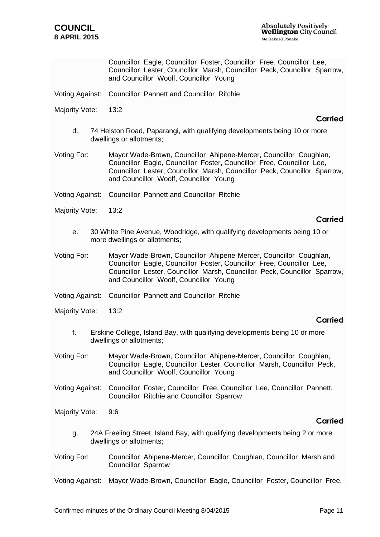Councillor Eagle, Councillor Foster, Councillor Free, Councillor Lee, Councillor Lester, Councillor Marsh, Councillor Peck, Councillor Sparrow, and Councillor Woolf, Councillor Young

Voting Against: Councillor Pannett and Councillor Ritchie

Majority Vote: 13:2

#### **Carried**

d. 74 Helston Road, Paparangi, with qualifying developments being 10 or more dwellings or allotments;

Voting For: Mayor Wade-Brown, Councillor Ahipene-Mercer, Councillor Coughlan, Councillor Eagle, Councillor Foster, Councillor Free, Councillor Lee, Councillor Lester, Councillor Marsh, Councillor Peck, Councillor Sparrow, and Councillor Woolf, Councillor Young

Voting Against: Councillor Pannett and Councillor Ritchie

Majority Vote: 13:2

#### **Carried**

- e. 30 White Pine Avenue, Woodridge, with qualifying developments being 10 or more dwellings or allotments;
- Voting For: Mayor Wade-Brown, Councillor Ahipene-Mercer, Councillor Coughlan, Councillor Eagle, Councillor Foster, Councillor Free, Councillor Lee, Councillor Lester, Councillor Marsh, Councillor Peck, Councillor Sparrow, and Councillor Woolf, Councillor Young
- Voting Against: Councillor Pannett and Councillor Ritchie
- Majority Vote: 13:2

#### **Carried**

- f. Erskine College, Island Bay, with qualifying developments being 10 or more dwellings or allotments;
- Voting For: Mayor Wade-Brown, Councillor Ahipene-Mercer, Councillor Coughlan, Councillor Eagle, Councillor Lester, Councillor Marsh, Councillor Peck, and Councillor Woolf, Councillor Young
- Voting Against: Councillor Foster, Councillor Free, Councillor Lee, Councillor Pannett, Councillor Ritchie and Councillor Sparrow

Majority Vote: 9:6

#### **Carried**

- g. 24A Freeling Street, Island Bay, with qualifying developments being 2 or more dwellings or allotments;
- Voting For: Councillor Ahipene-Mercer, Councillor Coughlan, Councillor Marsh and Councillor Sparrow

Voting Against: Mayor Wade-Brown, Councillor Eagle, Councillor Foster, Councillor Free,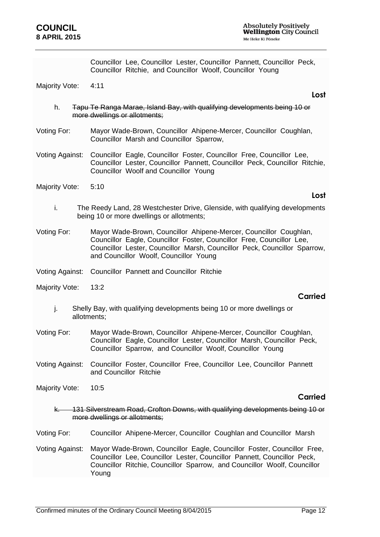Councillor Lee, Councillor Lester, Councillor Pannett, Councillor Peck, Councillor Ritchie, and Councillor Woolf, Councillor Young

Majority Vote: 4:11

- h. Tapu Te Ranga Marae, Island Bay, with qualifying developments being 10 or more dwellings or allotments;
- Voting For: Mayor Wade-Brown, Councillor Ahipene-Mercer, Councillor Coughlan, Councillor Marsh and Councillor Sparrow,
- Voting Against: Councillor Eagle, Councillor Foster, Councillor Free, Councillor Lee, Councillor Lester, Councillor Pannett, Councillor Peck, Councillor Ritchie, Councillor Woolf and Councillor Young
- Majority Vote: 5:10

#### **Lost**

- i. The Reedy Land, 28 Westchester Drive, Glenside, with qualifying developments being 10 or more dwellings or allotments;
- Voting For: Mayor Wade-Brown, Councillor Ahipene-Mercer, Councillor Coughlan, Councillor Eagle, Councillor Foster, Councillor Free, Councillor Lee, Councillor Lester, Councillor Marsh, Councillor Peck, Councillor Sparrow, and Councillor Woolf, Councillor Young
- Voting Against: Councillor Pannett and Councillor Ritchie
- Majority Vote: 13:2

#### **Carried**

- j. Shelly Bay, with qualifying developments being 10 or more dwellings or allotments;
- Voting For: Mayor Wade-Brown, Councillor Ahipene-Mercer, Councillor Coughlan, Councillor Eagle, Councillor Lester, Councillor Marsh, Councillor Peck, Councillor Sparrow, and Councillor Woolf, Councillor Young
- Voting Against: Councillor Foster, Councillor Free, Councillor Lee, Councillor Pannett and Councillor Ritchie
- Majority Vote: 10:5

#### **Carried**

k. 131 Silverstream Road, Crofton Downs, with qualifying developments being 10 or more dwellings or allotments;

Voting For: Councillor Ahipene-Mercer, Councillor Coughlan and Councillor Marsh

Voting Against: Mayor Wade-Brown, Councillor Eagle, Councillor Foster, Councillor Free, Councillor Lee, Councillor Lester, Councillor Pannett, Councillor Peck, Councillor Ritchie, Councillor Sparrow, and Councillor Woolf, Councillor Young

**Lost**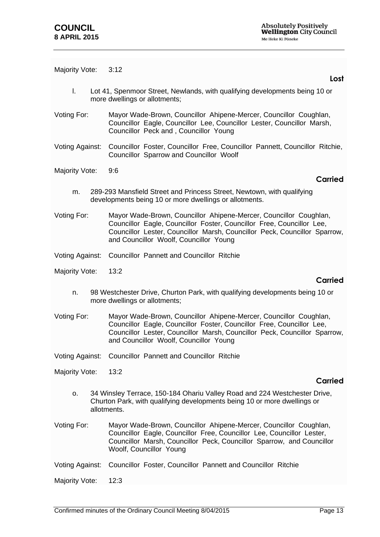Majority Vote: 3:12

- l. Lot 41, Spenmoor Street, Newlands, with qualifying developments being 10 or more dwellings or allotments;
- Voting For: Mayor Wade-Brown, Councillor Ahipene-Mercer, Councillor Coughlan, Councillor Eagle, Councillor Lee, Councillor Lester, Councillor Marsh, Councillor Peck and , Councillor Young
- Voting Against: Councillor Foster, Councillor Free, Councillor Pannett, Councillor Ritchie, Councillor Sparrow and Councillor Woolf
- Majority Vote: 9:6

#### **Carried**

- m. 289-293 Mansfield Street and Princess Street, Newtown, with qualifying developments being 10 or more dwellings or allotments.
- Voting For: Mayor Wade-Brown, Councillor Ahipene-Mercer, Councillor Coughlan, Councillor Eagle, Councillor Foster, Councillor Free, Councillor Lee, Councillor Lester, Councillor Marsh, Councillor Peck, Councillor Sparrow, and Councillor Woolf, Councillor Young
- Voting Against: Councillor Pannett and Councillor Ritchie
- Majority Vote: 13:2

#### **Carried**

- n. 98 Westchester Drive, Churton Park, with qualifying developments being 10 or more dwellings or allotments;
- Voting For: Mayor Wade-Brown, Councillor Ahipene-Mercer, Councillor Coughlan, Councillor Eagle, Councillor Foster, Councillor Free, Councillor Lee, Councillor Lester, Councillor Marsh, Councillor Peck, Councillor Sparrow, and Councillor Woolf, Councillor Young
- Voting Against: Councillor Pannett and Councillor Ritchie
- Majority Vote: 13:2

### **Carried**

- o. 34 Winsley Terrace, 150-184 Ohariu Valley Road and 224 Westchester Drive, Churton Park, with qualifying developments being 10 or more dwellings or allotments.
- Voting For: Mayor Wade-Brown, Councillor Ahipene-Mercer, Councillor Coughlan, Councillor Eagle, Councillor Free, Councillor Lee, Councillor Lester, Councillor Marsh, Councillor Peck, Councillor Sparrow, and Councillor Woolf, Councillor Young
- Voting Against: Councillor Foster, Councillor Pannett and Councillor Ritchie
- Majority Vote: 12:3

#### **Lost**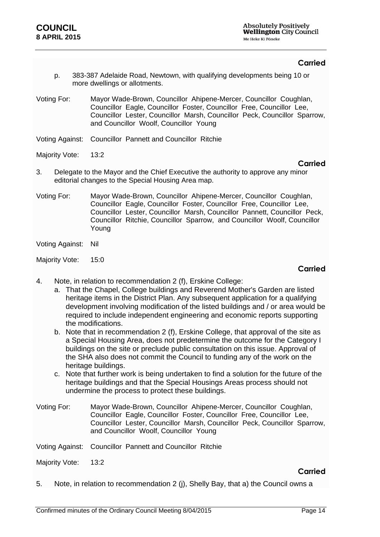### **Carried**

- p. 383-387 Adelaide Road, Newtown, with qualifying developments being 10 or more dwellings or allotments.
- Voting For: Mayor Wade-Brown, Councillor Ahipene-Mercer, Councillor Coughlan, Councillor Eagle, Councillor Foster, Councillor Free, Councillor Lee, Councillor Lester, Councillor Marsh, Councillor Peck, Councillor Sparrow, and Councillor Woolf, Councillor Young
- Voting Against: Councillor Pannett and Councillor Ritchie
- Majority Vote: 13:2

#### **Carried**

- 3. Delegate to the Mayor and the Chief Executive the authority to approve any minor editorial changes to the Special Housing Area map.
- Voting For: Mayor Wade-Brown, Councillor Ahipene-Mercer, Councillor Coughlan, Councillor Eagle, Councillor Foster, Councillor Free, Councillor Lee, Councillor Lester, Councillor Marsh, Councillor Pannett, Councillor Peck, Councillor Ritchie, Councillor Sparrow, and Councillor Woolf, Councillor Young
- Voting Against: Nil

Majority Vote: 15:0

#### **Carried**

- 4. Note, in relation to recommendation 2 (f), Erskine College:
	- a. That the Chapel, College buildings and Reverend Mother's Garden are listed heritage items in the District Plan. Any subsequent application for a qualifying development involving modification of the listed buildings and / or area would be required to include independent engineering and economic reports supporting the modifications.
	- b. Note that in recommendation 2 (f), Erskine College, that approval of the site as a Special Housing Area, does not predetermine the outcome for the Category I buildings on the site or preclude public consultation on this issue. Approval of the SHA also does not commit the Council to funding any of the work on the heritage buildings.
	- c. Note that further work is being undertaken to find a solution for the future of the heritage buildings and that the Special Housings Areas process should not undermine the process to protect these buildings.
- Voting For: Mayor Wade-Brown, Councillor Ahipene-Mercer, Councillor Coughlan, Councillor Eagle, Councillor Foster, Councillor Free, Councillor Lee, Councillor Lester, Councillor Marsh, Councillor Peck, Councillor Sparrow, and Councillor Woolf, Councillor Young
- Voting Against: Councillor Pannett and Councillor Ritchie
- Majority Vote: 13:2

#### **Carried**

5. Note, in relation to recommendation 2 (j), Shelly Bay, that a) the Council owns a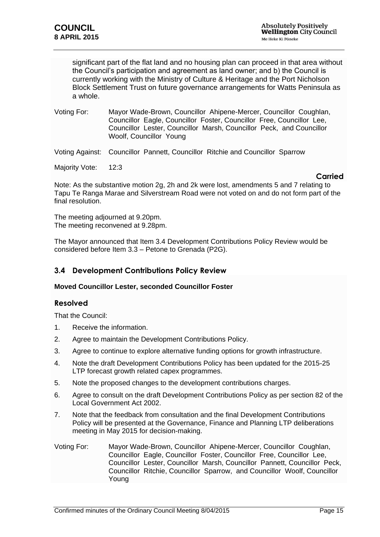significant part of the flat land and no housing plan can proceed in that area without the Council's participation and agreement as land owner; and b) the Council is currently working with the Ministry of Culture & Heritage and the Port Nicholson Block Settlement Trust on future governance arrangements for Watts Peninsula as a whole.

Voting For: Mayor Wade-Brown, Councillor Ahipene-Mercer, Councillor Coughlan, Councillor Eagle, Councillor Foster, Councillor Free, Councillor Lee, Councillor Lester, Councillor Marsh, Councillor Peck, and Councillor Woolf, Councillor Young

Voting Against: Councillor Pannett, Councillor Ritchie and Councillor Sparrow

Majority Vote: 12:3

#### **Carried**

Note: As the substantive motion 2g, 2h and 2k were lost, amendments 5 and 7 relating to Tapu Te Ranga Marae and Silverstream Road were not voted on and do not form part of the final resolution.

The meeting adjourned at 9.20pm. The meeting reconvened at 9.28pm.

The Mayor announced that Item 3.4 Development Contributions Policy Review would be considered before Item 3.3 – Petone to Grenada (P2G).

### <span id="page-14-0"></span>**3.4 Development Contributions Policy Review**

#### **Moved Councillor Lester, seconded Councillor Foster**

#### **Resolved**

That the Council:

- 1. Receive the information.
- 2. Agree to maintain the Development Contributions Policy.
- 3. Agree to continue to explore alternative funding options for growth infrastructure.
- 4. Note the draft Development Contributions Policy has been updated for the 2015-25 LTP forecast growth related capex programmes.
- 5. Note the proposed changes to the development contributions charges.
- 6. Agree to consult on the draft Development Contributions Policy as per section 82 of the Local Government Act 2002.
- 7. Note that the feedback from consultation and the final Development Contributions Policy will be presented at the Governance, Finance and Planning LTP deliberations meeting in May 2015 for decision-making.
- Voting For: Mayor Wade-Brown, Councillor Ahipene-Mercer, Councillor Coughlan, Councillor Eagle, Councillor Foster, Councillor Free, Councillor Lee, Councillor Lester, Councillor Marsh, Councillor Pannett, Councillor Peck, Councillor Ritchie, Councillor Sparrow, and Councillor Woolf, Councillor Young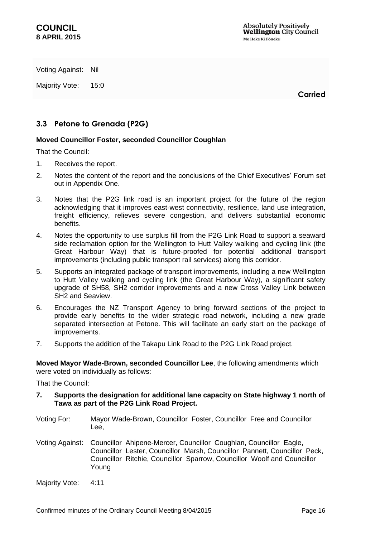Voting Against: Nil

Majority Vote: 15:0

**Carried**

### <span id="page-15-0"></span>**3.3 Petone to Grenada (P2G)**

#### **Moved Councillor Foster, seconded Councillor Coughlan**

That the Council:

- 1. Receives the report.
- 2. Notes the content of the report and the conclusions of the Chief Executives' Forum set out in Appendix One.
- 3. Notes that the P2G link road is an important project for the future of the region acknowledging that it improves east-west connectivity, resilience, land use integration, freight efficiency, relieves severe congestion, and delivers substantial economic benefits.
- 4. Notes the opportunity to use surplus fill from the P2G Link Road to support a seaward side reclamation option for the Wellington to Hutt Valley walking and cycling link (the Great Harbour Way) that is future-proofed for potential additional transport improvements (including public transport rail services) along this corridor.
- 5. Supports an integrated package of transport improvements, including a new Wellington to Hutt Valley walking and cycling link (the Great Harbour Way), a significant safety upgrade of SH58, SH2 corridor improvements and a new Cross Valley Link between SH2 and Seaview.
- 6. Encourages the NZ Transport Agency to bring forward sections of the project to provide early benefits to the wider strategic road network, including a new grade separated intersection at Petone. This will facilitate an early start on the package of improvements.
- 7. Supports the addition of the Takapu Link Road to the P2G Link Road project*.*

**Moved Mayor Wade-Brown, seconded Councillor Lee**, the following amendments which were voted on individually as follows:

That the Council:

- **7. Supports the designation for additional lane capacity on State highway 1 north of Tawa as part of the P2G Link Road Project.**
- Voting For: Mayor Wade-Brown, Councillor Foster, Councillor Free and Councillor Lee,
- Voting Against: Councillor Ahipene-Mercer, Councillor Coughlan, Councillor Eagle, Councillor Lester, Councillor Marsh, Councillor Pannett, Councillor Peck, Councillor Ritchie, Councillor Sparrow, Councillor Woolf and Councillor Young
- Majority Vote: 4:11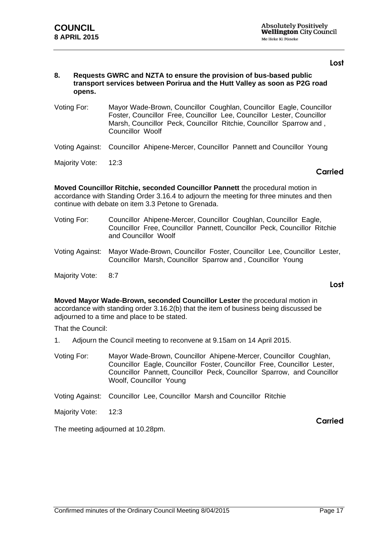#### **Lost**

#### **8. Requests GWRC and NZTA to ensure the provision of bus-based public transport services between Porirua and the Hutt Valley as soon as P2G road opens.**

- Voting For: Mayor Wade-Brown, Councillor Coughlan, Councillor Eagle, Councillor Foster, Councillor Free, Councillor Lee, Councillor Lester, Councillor Marsh, Councillor Peck, Councillor Ritchie, Councillor Sparrow and , Councillor Woolf
- Voting Against: Councillor Ahipene-Mercer, Councillor Pannett and Councillor Young
- Majority Vote: 12:3

#### **Carried**

**Moved Councillor Ritchie, seconded Councillor Pannett** the procedural motion in accordance with Standing Order 3.16.4 to adjourn the meeting for three minutes and then continue with debate on item 3.3 Petone to Grenada.

- Voting For: Councillor Ahipene-Mercer, Councillor Coughlan, Councillor Eagle, Councillor Free, Councillor Pannett, Councillor Peck, Councillor Ritchie and Councillor Woolf
- Voting Against: Mayor Wade-Brown, Councillor Foster, Councillor Lee, Councillor Lester, Councillor Marsh, Councillor Sparrow and , Councillor Young
- Majority Vote: 8:7

#### **Lost**

**Moved Mayor Wade-Brown, seconded Councillor Lester** the procedural motion in accordance with standing order 3.16.2(b) that the item of business being discussed be adjourned to a time and place to be stated.

That the Council:

- 1. Adjourn the Council meeting to reconvene at 9.15am on 14 April 2015.
- Voting For: Mayor Wade-Brown, Councillor Ahipene-Mercer, Councillor Coughlan, Councillor Eagle, Councillor Foster, Councillor Free, Councillor Lester, Councillor Pannett, Councillor Peck, Councillor Sparrow, and Councillor Woolf, Councillor Young

Voting Against: Councillor Lee, Councillor Marsh and Councillor Ritchie

Majority Vote: 12:3

The meeting adjourned at 10.28pm.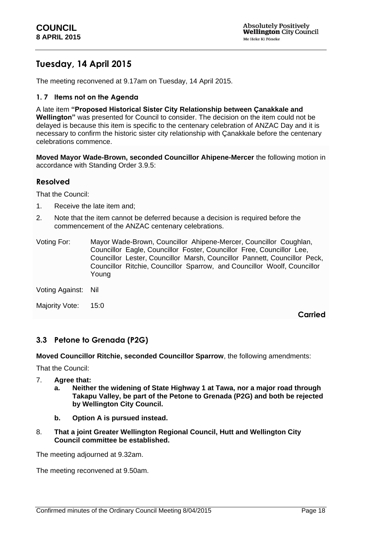# **Tuesday, 14 April 2015**

The meeting reconvened at 9.17am on Tuesday, 14 April 2015.

#### **1. 7 Items not on the Agenda**

A late item **"Proposed Historical Sister City Relationship between Çanakkale and Wellington"** was presented for Council to consider. The decision on the item could not be delayed is because this item is specific to the centenary celebration of ANZAC Day and it is necessary to confirm the historic sister city relationship with Çanakkale before the centenary celebrations commence.

**Moved Mayor Wade-Brown, seconded Councillor Ahipene-Mercer** the following motion in accordance with Standing Order 3.9.5:

#### **Resolved**

That the Council:

- 1. Receive the late item and;
- 2. Note that the item cannot be deferred because a decision is required before the commencement of the ANZAC centenary celebrations.

| Voting For: | Mayor Wade-Brown, Councillor Ahipene-Mercer, Councillor Coughlan,         |
|-------------|---------------------------------------------------------------------------|
|             | Councillor Eagle, Councillor Foster, Councillor Free, Councillor Lee,     |
|             | Councillor Lester, Councillor Marsh, Councillor Pannett, Councillor Peck, |
|             | Councillor Ritchie, Councillor Sparrow, and Councillor Woolf, Councillor  |
|             | Youna                                                                     |

Voting Against: Nil

Majority Vote: 15:0

**Carried**

### **3.3 Petone to Grenada (P2G)**

**Moved Councillor Ritchie, seconded Councillor Sparrow**, the following amendments:

That the Council:

- 7. **Agree that:**
	- **a. Neither the widening of State Highway 1 at Tawa, nor a major road through Takapu Valley, be part of the Petone to Grenada (P2G) and both be rejected by Wellington City Council.**
	- **b. Option A is pursued instead.**
- 8. **That a joint Greater Wellington Regional Council, Hutt and Wellington City Council committee be established.**

The meeting adjourned at 9.32am.

The meeting reconvened at 9.50am.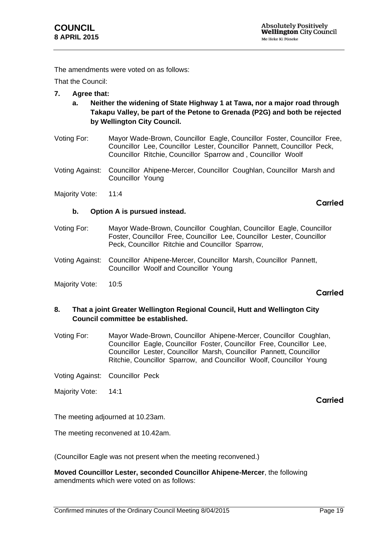The amendments were voted on as follows:

**b. Option A is pursued instead.**

That the Council:

- **7. Agree that:**
	- **a. Neither the widening of State Highway 1 at Tawa, nor a major road through Takapu Valley, be part of the Petone to Grenada (P2G) and both be rejected by Wellington City Council.**
- Voting For: Mayor Wade-Brown, Councillor Eagle, Councillor Foster, Councillor Free, Councillor Lee, Councillor Lester, Councillor Pannett, Councillor Peck, Councillor Ritchie, Councillor Sparrow and , Councillor Woolf
- Voting Against: Councillor Ahipene-Mercer, Councillor Coughlan, Councillor Marsh and Councillor Young
- Majority Vote: 11:4

- Voting For: Mayor Wade-Brown, Councillor Coughlan, Councillor Eagle, Councillor Foster, Councillor Free, Councillor Lee, Councillor Lester, Councillor Peck, Councillor Ritchie and Councillor Sparrow,
- Voting Against: Councillor Ahipene-Mercer, Councillor Marsh, Councillor Pannett, Councillor Woolf and Councillor Young
- Majority Vote: 10:5

### **Carried**

**Carried**

#### **8. That a joint Greater Wellington Regional Council, Hutt and Wellington City Council committee be established.**

Voting For: Mayor Wade-Brown, Councillor Ahipene-Mercer, Councillor Coughlan, Councillor Eagle, Councillor Foster, Councillor Free, Councillor Lee, Councillor Lester, Councillor Marsh, Councillor Pannett, Councillor Ritchie, Councillor Sparrow, and Councillor Woolf, Councillor Young

Voting Against: Councillor Peck

Majority Vote: 14:1

### **Carried**

The meeting adjourned at 10.23am.

The meeting reconvened at 10.42am.

(Councillor Eagle was not present when the meeting reconvened.)

**Moved Councillor Lester, seconded Councillor Ahipene-Mercer**, the following amendments which were voted on as follows: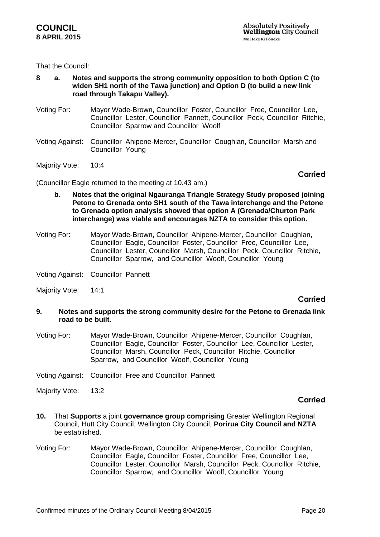That the Council:

- **8 a. Notes and supports the strong community opposition to both Option C (to widen SH1 north of the Tawa junction) and Option D (to build a new link road through Takapu Valley).**
- Voting For: Mayor Wade-Brown, Councillor Foster, Councillor Free, Councillor Lee, Councillor Lester, Councillor Pannett, Councillor Peck, Councillor Ritchie, Councillor Sparrow and Councillor Woolf
- Voting Against: Councillor Ahipene-Mercer, Councillor Coughlan, Councillor Marsh and Councillor Young
- Majority Vote: 10:4

**Carried**

(Councillor Eagle returned to the meeting at 10.43 am.)

- **b. Notes that the original Ngauranga Triangle Strategy Study proposed joining Petone to Grenada onto SH1 south of the Tawa interchange and the Petone to Grenada option analysis showed that option A (Grenada/Churton Park interchange) was viable and encourages NZTA to consider this option.**
- Voting For: Mayor Wade-Brown, Councillor Ahipene-Mercer, Councillor Coughlan, Councillor Eagle, Councillor Foster, Councillor Free, Councillor Lee, Councillor Lester, Councillor Marsh, Councillor Peck, Councillor Ritchie, Councillor Sparrow, and Councillor Woolf, Councillor Young
- Voting Against: Councillor Pannett
- Majority Vote: 14:1

### **Carried**

#### **9. Notes and supports the strong community desire for the Petone to Grenada link road to be built.**

Voting For: Mayor Wade-Brown, Councillor Ahipene-Mercer, Councillor Coughlan, Councillor Eagle, Councillor Foster, Councillor Lee, Councillor Lester, Councillor Marsh, Councillor Peck, Councillor Ritchie, Councillor Sparrow, and Councillor Woolf, Councillor Young

Voting Against: Councillor Free and Councillor Pannett

Majority Vote: 13:2

- **10.** That **Supports** a joint **governance group comprising** Greater Wellington Regional Council, Hutt City Council, Wellington City Council, **Porirua City Council and NZTA** be established.
- Voting For: Mayor Wade-Brown, Councillor Ahipene-Mercer, Councillor Coughlan, Councillor Eagle, Councillor Foster, Councillor Free, Councillor Lee, Councillor Lester, Councillor Marsh, Councillor Peck, Councillor Ritchie, Councillor Sparrow, and Councillor Woolf, Councillor Young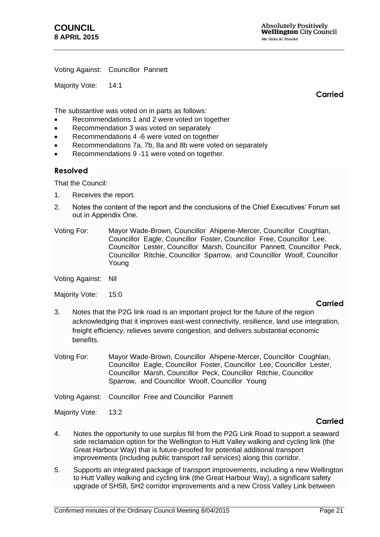Voting Against: Councillor Pannett

Majority Vote: 14:1

**Carried**

The substantive was voted on in parts as follows:

- Recommendations 1 and 2 were voted on together
- Recommendation 3 was voted on separately
- Recommendations 4 -6 were voted on together
- Recommendations 7a, 7b, 8a and 8b were voted on separately
- Recommendations 9 -11 were voted on together.

#### **Resolved**

That the Council:

- 1. Receives the report.
- 2. Notes the content of the report and the conclusions of the Chief Executives' Forum set out in Appendix One.
- Voting For: Mayor Wade-Brown, Councillor Ahipene-Mercer, Councillor Coughlan, Councillor Eagle, Councillor Foster, Councillor Free, Councillor Lee, Councillor Lester, Councillor Marsh, Councillor Pannett, Councillor Peck, Councillor Ritchie, Councillor Sparrow, and Councillor Woolf, Councillor Young

Voting Against: Nil

Majority Vote: 15:0

#### **Carried**

- 3. Notes that the P2G link road is an important project for the future of the region acknowledging that it improves east-west connectivity, resilience, land use integration, freight efficiency, relieves severe congestion, and delivers substantial economic benefits.
- Voting For: Mayor Wade-Brown, Councillor Ahipene-Mercer, Councillor Coughlan, Councillor Eagle, Councillor Foster, Councillor Lee, Councillor Lester, Councillor Marsh, Councillor Peck, Councillor Ritchie, Councillor Sparrow, and Councillor Woolf, Councillor Young

Voting Against: Councillor Free and Councillor Pannett

Majority Vote: 13:2

- 4. Notes the opportunity to use surplus fill from the P2G Link Road to support a seaward side reclamation option for the Wellington to Hutt Valley walking and cycling link (the Great Harbour Way) that is future-proofed for potential additional transport improvements (including public transport rail services) along this corridor.
- 5. Supports an integrated package of transport improvements, including a new Wellington to Hutt Valley walking and cycling link (the Great Harbour Way), a significant safety upgrade of SH58, SH2 corridor improvements and a new Cross Valley Link between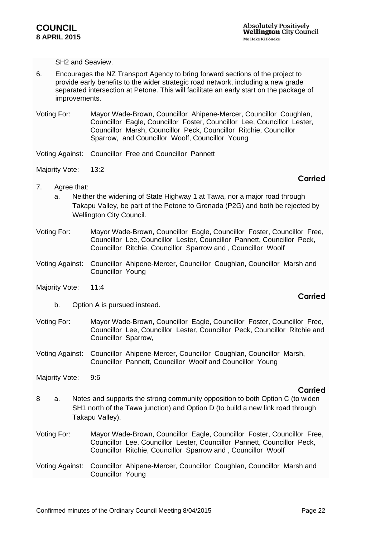SH2 and Seaview.

- 6. Encourages the NZ Transport Agency to bring forward sections of the project to provide early benefits to the wider strategic road network, including a new grade separated intersection at Petone. This will facilitate an early start on the package of improvements.
- Voting For: Mayor Wade-Brown, Councillor Ahipene-Mercer, Councillor Coughlan, Councillor Eagle, Councillor Foster, Councillor Lee, Councillor Lester, Councillor Marsh, Councillor Peck, Councillor Ritchie, Councillor Sparrow, and Councillor Woolf, Councillor Young
- Voting Against: Councillor Free and Councillor Pannett
- Majority Vote: 13:2

#### **Carried**

- 7. Agree that:
	- a. Neither the widening of State Highway 1 at Tawa, nor a major road through Takapu Valley, be part of the Petone to Grenada (P2G) and both be rejected by Wellington City Council.
- Voting For: Mayor Wade-Brown, Councillor Eagle, Councillor Foster, Councillor Free, Councillor Lee, Councillor Lester, Councillor Pannett, Councillor Peck, Councillor Ritchie, Councillor Sparrow and , Councillor Woolf
- Voting Against: Councillor Ahipene-Mercer, Councillor Coughlan, Councillor Marsh and Councillor Young
- Majority Vote: 11:4
	- b. Option A is pursued instead.
- Voting For: Mayor Wade-Brown, Councillor Eagle, Councillor Foster, Councillor Free, Councillor Lee, Councillor Lester, Councillor Peck, Councillor Ritchie and Councillor Sparrow,
- Voting Against: Councillor Ahipene-Mercer, Councillor Coughlan, Councillor Marsh, Councillor Pannett, Councillor Woolf and Councillor Young
- Majority Vote: 9:6

#### **Carried**

- 8 a. Notes and supports the strong community opposition to both Option C (to widen SH1 north of the Tawa junction) and Option D (to build a new link road through Takapu Valley).
- Voting For: Mayor Wade-Brown, Councillor Eagle, Councillor Foster, Councillor Free, Councillor Lee, Councillor Lester, Councillor Pannett, Councillor Peck, Councillor Ritchie, Councillor Sparrow and , Councillor Woolf
- Voting Against: Councillor Ahipene-Mercer, Councillor Coughlan, Councillor Marsh and Councillor Young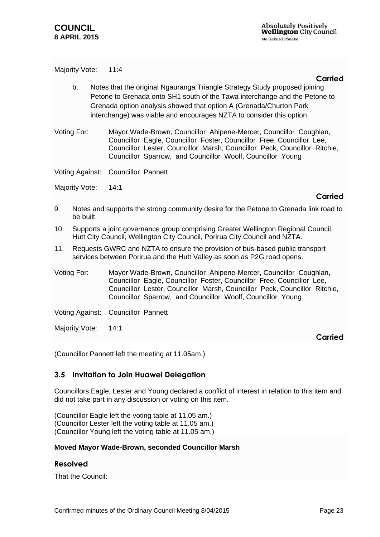Majority Vote: 11:4

#### **Carried**

- b. Notes that the original Ngauranga Triangle Strategy Study proposed joining Petone to Grenada onto SH1 south of the Tawa interchange and the Petone to Grenada option analysis showed that option A (Grenada/Churton Park interchange) was viable and encourages NZTA to consider this option.
- Voting For: Mayor Wade-Brown, Councillor Ahipene-Mercer, Councillor Coughlan, Councillor Eagle, Councillor Foster, Councillor Free, Councillor Lee, Councillor Lester, Councillor Marsh, Councillor Peck, Councillor Ritchie, Councillor Sparrow, and Councillor Woolf, Councillor Young

Voting Against: Councillor Pannett

Majority Vote: 14:1

### **Carried**

- 9. Notes and supports the strong community desire for the Petone to Grenada link road to be built.
- 10. Supports a joint governance group comprising Greater Wellington Regional Council, Hutt City Council, Wellington City Council, Porirua City Council and NZTA.
- 11. Requests GWRC and NZTA to ensure the provision of bus-based public transport services between Porirua and the Hutt Valley as soon as P2G road opens.
- Voting For: Mayor Wade-Brown, Councillor Ahipene-Mercer, Councillor Coughlan, Councillor Eagle, Councillor Foster, Councillor Free, Councillor Lee, Councillor Lester, Councillor Marsh, Councillor Peck, Councillor Ritchie, Councillor Sparrow, and Councillor Woolf, Councillor Young

Voting Against: Councillor Pannett

Majority Vote: 14:1

**Carried**

(Councillor Pannett left the meeting at 11.05am.)

### <span id="page-22-0"></span>**3.5 Invitation to Join Huawei Delegation**

Councillors Eagle, Lester and Young declared a conflict of interest in relation to this item and did not take part in any discussion or voting on this item.

(Councillor Eagle left the voting table at 11.05 am.) (Councillor Lester left the voting table at 11.05 am.) (Councillor Young left the voting table at 11.05 am.)

#### **Moved Mayor Wade-Brown, seconded Councillor Marsh**

#### **Resolved**

That the Council: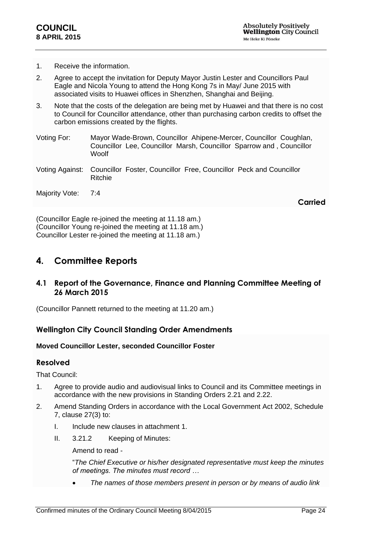- 1. Receive the information.
- 2. Agree to accept the invitation for Deputy Mayor Justin Lester and Councillors Paul Eagle and Nicola Young to attend the Hong Kong 7s in May/ June 2015 with associated visits to Huawei offices in Shenzhen, Shanghai and Beijing.
- 3. Note that the costs of the delegation are being met by Huawei and that there is no cost to Council for Councillor attendance, other than purchasing carbon credits to offset the carbon emissions created by the flights.
- Voting For: Mayor Wade-Brown, Councillor Ahipene-Mercer, Councillor Coughlan, Councillor Lee, Councillor Marsh, Councillor Sparrow and , Councillor **Woolf**
- Voting Against: Councillor Foster, Councillor Free, Councillor Peck and Councillor Ritchie
- Majority Vote: 7:4

**Carried**

(Councillor Eagle re-joined the meeting at 11.18 am.) (Councillor Young re-joined the meeting at 11.18 am.) Councillor Lester re-joined the meeting at 11.18 am.)

## <span id="page-23-0"></span>**4. Committee Reports**

### <span id="page-23-1"></span>**4.1 Report of the Governance, Finance and Planning Committee Meeting of 26 March 2015**

(Councillor Pannett returned to the meeting at 11.20 am.)

### **Wellington City Council Standing Order Amendments**

#### <span id="page-23-2"></span>**Moved Councillor Lester, seconded Councillor Foster**

#### **Resolved**

That Council:

- 1. Agree to provide audio and audiovisual links to Council and its Committee meetings in accordance with the new provisions in Standing Orders 2.21 and 2.22.
- 2. Amend Standing Orders in accordance with the Local Government Act 2002, Schedule 7, clause 27(3) to:
	- I. Include new clauses in attachment 1.
	- II. 3.21.2 Keeping of Minutes:

Amend to read -

"*The Chief Executive or his/her designated representative must keep the minutes of meetings. The minutes must record …*

*The names of those members present in person or by means of audio link*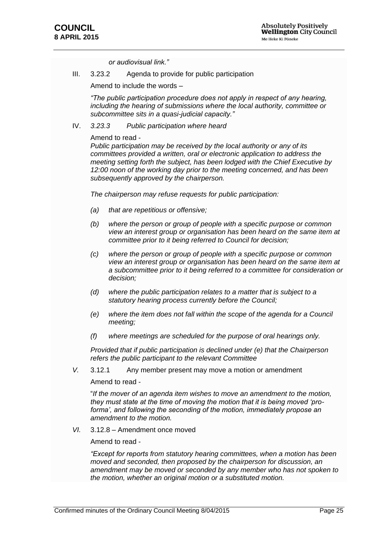*or audiovisual link."*

III. 3.23.2 Agenda to provide for public participation

Amend to include the words –

*"The public participation procedure does not apply in respect of any hearing, including the hearing of submissions where the local authority, committee or subcommittee sits in a quasi-judicial capacity."*

#### IV. *3.23.3 Public participation where heard*

#### Amend to read -

*Public participation may be received by the local authority or any of its committees provided a written, oral or electronic application to address the meeting setting forth the subject, has been lodged with the Chief Executive by 12:00 noon of the working day prior to the meeting concerned, and has been subsequently approved by the chairperson.* 

*The chairperson may refuse requests for public participation:*

- *(a) that are repetitious or offensive;*
- *(b) where the person or group of people with a specific purpose or common view an interest group or organisation has been heard on the same item at committee prior to it being referred to Council for decision;*
- *(c) where the person or group of people with a specific purpose or common view an interest group or organisation has been heard on the same item at a subcommittee prior to it being referred to a committee for consideration or decision;*
- *(d) where the public participation relates to a matter that is subject to a statutory hearing process currently before the Council;*
- *(e) where the item does not fall within the scope of the agenda for a Council meeting;*
- *(f) where meetings are scheduled for the purpose of oral hearings only.*

*Provided that if public participation is declined under (e) that the Chairperson refers the public participant to the relevant Committee*

*V.* 3.12.1 Any member present may move a motion or amendment

Amend to read -

"*If the mover of an agenda item wishes to move an amendment to the motion, they must state at the time of moving the motion that it is being moved 'proforma', and following the seconding of the motion, immediately propose an amendment to the motion.*

*VI.* 3.12.8 – Amendment once moved

Amend to read -

*"Except for reports from statutory hearing committees, when a motion has been moved and seconded, then proposed by the chairperson for discussion, an amendment may be moved or seconded by any member who has not spoken to the motion, whether an original motion or a substituted motion.*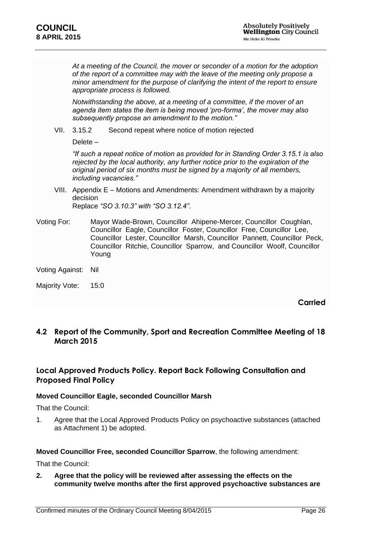*At a meeting of the Council, the mover or seconder of a motion for the adoption of the report of a committee may with the leave of the meeting only propose a minor amendment for the purpose of clarifying the intent of the report to ensure appropriate process is followed.*

*Notwithstanding the above, at a meeting of a committee, if the mover of an agenda item states the item is being moved 'pro-forma', the mover may also subsequently propose an amendment to the motion."*

VII. 3.15.2 Second repeat where notice of motion rejected

Delete –

*"If such a repeat notice of motion as provided for in Standing Order 3.15.1 is also rejected by the local authority, any further notice prior to the expiration of the original period of six months must be signed by a majority of all members, including vacancies."*

- VIII. Appendix E Motions and Amendments: Amendment withdrawn by a majority decision Replace *"SO 3.10.3" with "SO 3.12.4"*.
- Voting For: Mayor Wade-Brown, Councillor Ahipene-Mercer, Councillor Coughlan, Councillor Eagle, Councillor Foster, Councillor Free, Councillor Lee, Councillor Lester, Councillor Marsh, Councillor Pannett, Councillor Peck, Councillor Ritchie, Councillor Sparrow, and Councillor Woolf, Councillor Young
- Voting Against: Nil
- Majority Vote: 15:0

**Carried**

### <span id="page-25-0"></span>**4.2 Report of the Community, Sport and Recreation Committee Meeting of 18 March 2015**

### **Local Approved Products Policy. Report Back Following Consultation and Proposed Final Policy**

#### **Moved Councillor Eagle, seconded Councillor Marsh**

That the Council:

1. Agree that the Local Approved Products Policy on psychoactive substances (attached as Attachment 1) be adopted.

#### **Moved Councillor Free, seconded Councillor Sparrow**, the following amendment:

That the Council:

**2. Agree that the policy will be reviewed after assessing the effects on the community twelve months after the first approved psychoactive substances are**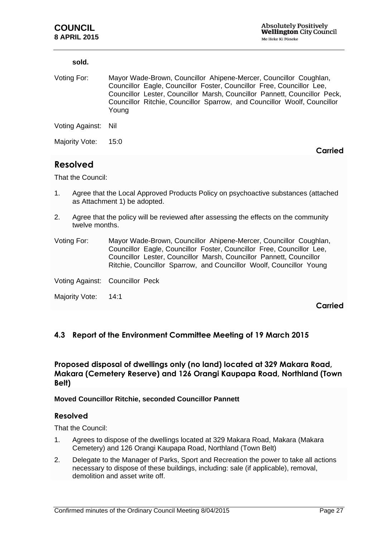| sold.               |                                                                                                                                                                                                                                                                                                              |
|---------------------|--------------------------------------------------------------------------------------------------------------------------------------------------------------------------------------------------------------------------------------------------------------------------------------------------------------|
| Voting For:         | Mayor Wade-Brown, Councillor Ahipene-Mercer, Councillor Coughlan,<br>Councillor Eagle, Councillor Foster, Councillor Free, Councillor Lee,<br>Councillor Lester, Councillor Marsh, Councillor Pannett, Councillor Peck,<br>Councillor Ritchie, Councillor Sparrow, and Councillor Woolf, Councillor<br>Young |
| Voting Against: Nil |                                                                                                                                                                                                                                                                                                              |
| Majority Vote:      | 15:0<br>'IAN                                                                                                                                                                                                                                                                                                 |

## <span id="page-26-0"></span>**Resolved**

That the Council:

- 1. Agree that the Local Approved Products Policy on psychoactive substances (attached as Attachment 1) be adopted.
- 2. Agree that the policy will be reviewed after assessing the effects on the community twelve months.
- Voting For: Mayor Wade-Brown, Councillor Ahipene-Mercer, Councillor Coughlan, Councillor Eagle, Councillor Foster, Councillor Free, Councillor Lee, Councillor Lester, Councillor Marsh, Councillor Pannett, Councillor Ritchie, Councillor Sparrow, and Councillor Woolf, Councillor Young
- Voting Against: Councillor Peck
- Majority Vote: 14:1

**Carried**

### <span id="page-26-1"></span>**4.3 Report of the Environment Committee Meeting of 19 March 2015**

### **Proposed disposal of dwellings only (no land) located at 329 Makara Road, Makara (Cemetery Reserve) and 126 Orangi Kaupapa Road, Northland (Town Belt)**

#### <span id="page-26-2"></span>**Moved Councillor Ritchie, seconded Councillor Pannett**

#### **Resolved**

That the Council:

- 1. Agrees to dispose of the dwellings located at 329 Makara Road, Makara (Makara Cemetery) and 126 Orangi Kaupapa Road, Northland (Town Belt)
- 2. Delegate to the Manager of Parks, Sport and Recreation the power to take all actions necessary to dispose of these buildings, including: sale (if applicable), removal, demolition and asset write off.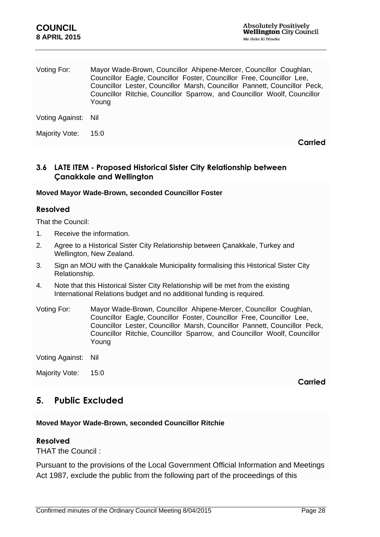| Voting For:         | Mayor Wade-Brown, Councillor Ahipene-Mercer, Councillor Coughlan,<br>Councillor Eagle, Councillor Foster, Councillor Free, Councillor Lee,<br>Councillor Lester, Councillor Marsh, Councillor Pannett, Councillor Peck,<br>Councillor Ritchie, Councillor Sparrow, and Councillor Woolf, Councillor<br>Young |
|---------------------|--------------------------------------------------------------------------------------------------------------------------------------------------------------------------------------------------------------------------------------------------------------------------------------------------------------|
| Voting Against: Nil |                                                                                                                                                                                                                                                                                                              |
| Majority Vote:      | 15:0<br>ied                                                                                                                                                                                                                                                                                                  |

### <span id="page-27-0"></span>**3.6 LATE ITEM - Proposed Historical Sister City Relationship between Çanakkale and Wellington**

#### **Moved Mayor Wade-Brown, seconded Councillor Foster**

### **Resolved**

That the Council:

- 1. Receive the information.
- 2. Agree to a Historical Sister City Relationship between Çanakkale, Turkey and Wellington, New Zealand.
- 3. Sign an MOU with the Çanakkale Municipality formalising this Historical Sister City Relationship.
- 4. Note that this Historical Sister City Relationship will be met from the existing International Relations budget and no additional funding is required.
- Voting For: Mayor Wade-Brown, Councillor Ahipene-Mercer, Councillor Coughlan, Councillor Eagle, Councillor Foster, Councillor Free, Councillor Lee, Councillor Lester, Councillor Marsh, Councillor Pannett, Councillor Peck, Councillor Ritchie, Councillor Sparrow, and Councillor Woolf, Councillor Young

Voting Against: Nil

Majority Vote: 15:0

**Carried**

### <span id="page-27-1"></span>**5. Public Excluded**

### **Moved Mayor Wade-Brown, seconded Councillor Ritchie**

### **Resolved**

THAT the Council :

Pursuant to the provisions of the Local Government Official Information and Meetings Act 1987, exclude the public from the following part of the proceedings of this